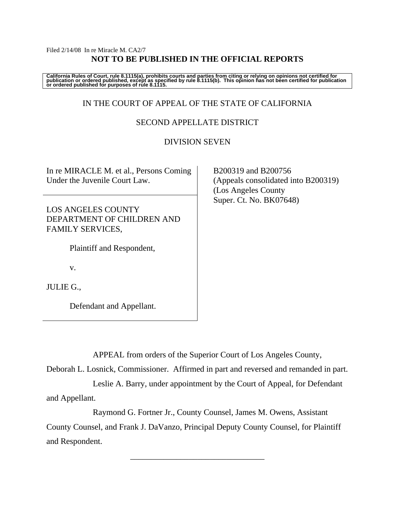## Filed 2/14/08 In re Miracle M. CA2/7 **NOT TO BE PUBLISHED IN THE OFFICIAL REPORTS**

California Rules of Court, rule 8.1115(a), prohibits courts and parties from citing or relying on opinions not certified for<br>publication or ordered published, except as specified by rule 8.1115(b). This opinion has not be

# IN THE COURT OF APPEAL OF THE STATE OF CALIFORNIA

# SECOND APPELLATE DISTRICT

## DIVISION SEVEN

In re MIRACLE M. et al., Persons Coming Under the Juvenile Court Law.

LOS ANGELES COUNTY DEPARTMENT OF CHILDREN AND FAMILY SERVICES,

Plaintiff and Respondent,

v.

JULIE G.,

Defendant and Appellant.

 B200319 and B200756 (Appeals consolidated into B200319) (Los Angeles County Super. Ct. No. BK07648)

APPEAL from orders of the Superior Court of Los Angeles County,

Deborah L. Losnick, Commissioner. Affirmed in part and reversed and remanded in part.

 Leslie A. Barry, under appointment by the Court of Appeal, for Defendant and Appellant.

Raymond G. Fortner Jr., County Counsel, James M. Owens, Assistant

County Counsel, and Frank J. DaVanzo, Principal Deputy County Counsel, for Plaintiff and Respondent.

\_\_\_\_\_\_\_\_\_\_\_\_\_\_\_\_\_\_\_\_\_\_\_\_\_\_\_\_\_\_\_\_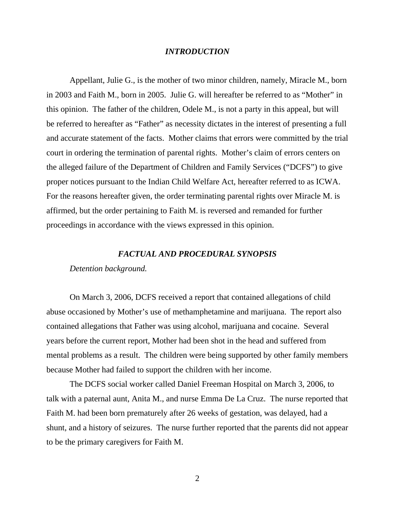## *INTRODUCTION*

 Appellant, Julie G., is the mother of two minor children, namely, Miracle M., born in 2003 and Faith M., born in 2005. Julie G. will hereafter be referred to as "Mother" in this opinion. The father of the children, Odele M., is not a party in this appeal, but will be referred to hereafter as "Father" as necessity dictates in the interest of presenting a full and accurate statement of the facts. Mother claims that errors were committed by the trial court in ordering the termination of parental rights. Mother's claim of errors centers on the alleged failure of the Department of Children and Family Services ("DCFS") to give proper notices pursuant to the Indian Child Welfare Act, hereafter referred to as ICWA. For the reasons hereafter given, the order terminating parental rights over Miracle M. is affirmed, but the order pertaining to Faith M. is reversed and remanded for further proceedings in accordance with the views expressed in this opinion.

### *FACTUAL AND PROCEDURAL SYNOPSIS*

#### *Detention background.*

On March 3, 2006, DCFS received a report that contained allegations of child abuse occasioned by Mother's use of methamphetamine and marijuana. The report also contained allegations that Father was using alcohol, marijuana and cocaine. Several years before the current report, Mother had been shot in the head and suffered from mental problems as a result. The children were being supported by other family members because Mother had failed to support the children with her income.

 The DCFS social worker called Daniel Freeman Hospital on March 3, 2006, to talk with a paternal aunt, Anita M., and nurse Emma De La Cruz. The nurse reported that Faith M. had been born prematurely after 26 weeks of gestation, was delayed, had a shunt, and a history of seizures. The nurse further reported that the parents did not appear to be the primary caregivers for Faith M.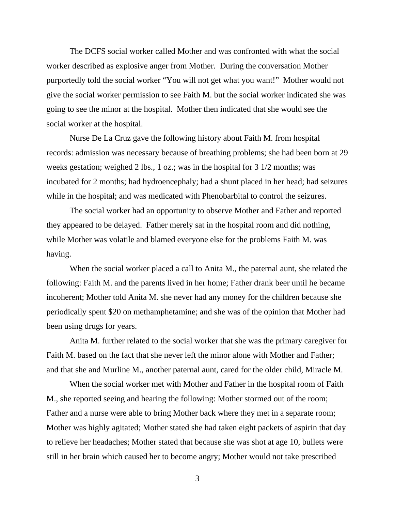The DCFS social worker called Mother and was confronted with what the social worker described as explosive anger from Mother. During the conversation Mother purportedly told the social worker "You will not get what you want!" Mother would not give the social worker permission to see Faith M. but the social worker indicated she was going to see the minor at the hospital. Mother then indicated that she would see the social worker at the hospital.

 Nurse De La Cruz gave the following history about Faith M. from hospital records: admission was necessary because of breathing problems; she had been born at 29 weeks gestation; weighed 2 lbs., 1 oz.; was in the hospital for 3 1/2 months; was incubated for 2 months; had hydroencephaly; had a shunt placed in her head; had seizures while in the hospital; and was medicated with Phenobarbital to control the seizures.

 The social worker had an opportunity to observe Mother and Father and reported they appeared to be delayed. Father merely sat in the hospital room and did nothing, while Mother was volatile and blamed everyone else for the problems Faith M. was having.

 When the social worker placed a call to Anita M., the paternal aunt, she related the following: Faith M. and the parents lived in her home; Father drank beer until he became incoherent; Mother told Anita M. she never had any money for the children because she periodically spent \$20 on methamphetamine; and she was of the opinion that Mother had been using drugs for years.

 Anita M. further related to the social worker that she was the primary caregiver for Faith M. based on the fact that she never left the minor alone with Mother and Father; and that she and Murline M., another paternal aunt, cared for the older child, Miracle M.

 When the social worker met with Mother and Father in the hospital room of Faith M., she reported seeing and hearing the following: Mother stormed out of the room; Father and a nurse were able to bring Mother back where they met in a separate room; Mother was highly agitated; Mother stated she had taken eight packets of aspirin that day to relieve her headaches; Mother stated that because she was shot at age 10, bullets were still in her brain which caused her to become angry; Mother would not take prescribed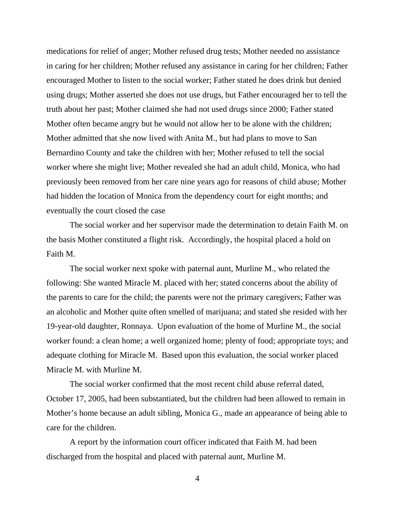medications for relief of anger; Mother refused drug tests; Mother needed no assistance in caring for her children; Mother refused any assistance in caring for her children; Father encouraged Mother to listen to the social worker; Father stated he does drink but denied using drugs; Mother asserted she does not use drugs, but Father encouraged her to tell the truth about her past; Mother claimed she had not used drugs since 2000; Father stated Mother often became angry but he would not allow her to be alone with the children; Mother admitted that she now lived with Anita M., but had plans to move to San Bernardino County and take the children with her; Mother refused to tell the social worker where she might live; Mother revealed she had an adult child, Monica, who had previously been removed from her care nine years ago for reasons of child abuse; Mother had hidden the location of Monica from the dependency court for eight months; and eventually the court closed the case

 The social worker and her supervisor made the determination to detain Faith M. on the basis Mother constituted a flight risk. Accordingly, the hospital placed a hold on Faith M.

 The social worker next spoke with paternal aunt, Murline M., who related the following: She wanted Miracle M. placed with her; stated concerns about the ability of the parents to care for the child; the parents were not the primary caregivers; Father was an alcoholic and Mother quite often smelled of marijuana; and stated she resided with her 19-year-old daughter, Ronnaya. Upon evaluation of the home of Murline M., the social worker found: a clean home; a well organized home; plenty of food; appropriate toys; and adequate clothing for Miracle M. Based upon this evaluation, the social worker placed Miracle M. with Murline M.

 The social worker confirmed that the most recent child abuse referral dated, October 17, 2005, had been substantiated, but the children had been allowed to remain in Mother's home because an adult sibling, Monica G., made an appearance of being able to care for the children.

 A report by the information court officer indicated that Faith M. had been discharged from the hospital and placed with paternal aunt, Murline M.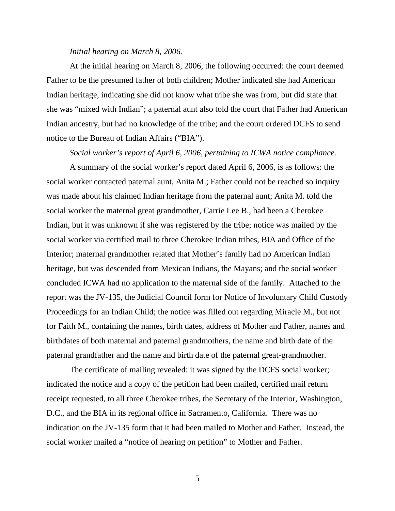#### *Initial hearing on March 8, 2006.*

At the initial hearing on March 8, 2006, the following occurred: the court deemed Father to be the presumed father of both children; Mother indicated she had American Indian heritage, indicating she did not know what tribe she was from, but did state that she was "mixed with Indian"; a paternal aunt also told the court that Father had American Indian ancestry, but had no knowledge of the tribe; and the court ordered DCFS to send notice to the Bureau of Indian Affairs ("BIA").

*Social worker's report of April 6, 2006, pertaining to ICWA notice compliance.* 

A summary of the social worker's report dated April 6, 2006, is as follows: the social worker contacted paternal aunt, Anita M.; Father could not be reached so inquiry was made about his claimed Indian heritage from the paternal aunt; Anita M. told the social worker the maternal great grandmother, Carrie Lee B., had been a Cherokee Indian, but it was unknown if she was registered by the tribe; notice was mailed by the social worker via certified mail to three Cherokee Indian tribes, BIA and Office of the Interior; maternal grandmother related that Mother's family had no American Indian heritage, but was descended from Mexican Indians, the Mayans; and the social worker concluded ICWA had no application to the maternal side of the family. Attached to the report was the JV-135, the Judicial Council form for Notice of Involuntary Child Custody Proceedings for an Indian Child; the notice was filled out regarding Miracle M., but not for Faith M., containing the names, birth dates, address of Mother and Father, names and birthdates of both maternal and paternal grandmothers, the name and birth date of the paternal grandfather and the name and birth date of the paternal great-grandmother.

 The certificate of mailing revealed: it was signed by the DCFS social worker; indicated the notice and a copy of the petition had been mailed, certified mail return receipt requested, to all three Cherokee tribes, the Secretary of the Interior, Washington, D.C., and the BIA in its regional office in Sacramento, California. There was no indication on the JV-135 form that it had been mailed to Mother and Father. Instead, the social worker mailed a "notice of hearing on petition" to Mother and Father.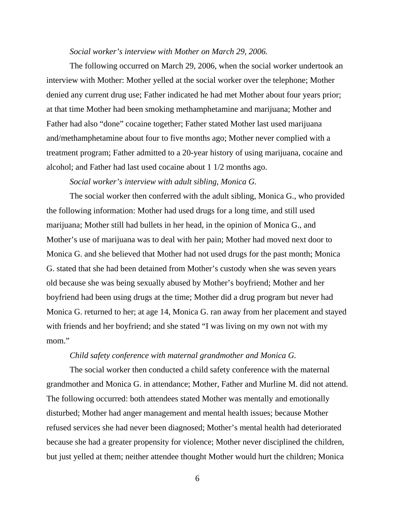#### *Social worker's interview with Mother on March 29, 2006.*

The following occurred on March 29, 2006, when the social worker undertook an interview with Mother: Mother yelled at the social worker over the telephone; Mother denied any current drug use; Father indicated he had met Mother about four years prior; at that time Mother had been smoking methamphetamine and marijuana; Mother and Father had also "done" cocaine together; Father stated Mother last used marijuana and/methamphetamine about four to five months ago; Mother never complied with a treatment program; Father admitted to a 20-year history of using marijuana, cocaine and alcohol; and Father had last used cocaine about 1 1/2 months ago.

## *Social worker's interview with adult sibling, Monica G.*

The social worker then conferred with the adult sibling, Monica G., who provided the following information: Mother had used drugs for a long time, and still used marijuana; Mother still had bullets in her head, in the opinion of Monica G., and Mother's use of marijuana was to deal with her pain; Mother had moved next door to Monica G. and she believed that Mother had not used drugs for the past month; Monica G. stated that she had been detained from Mother's custody when she was seven years old because she was being sexually abused by Mother's boyfriend; Mother and her boyfriend had been using drugs at the time; Mother did a drug program but never had Monica G. returned to her; at age 14, Monica G. ran away from her placement and stayed with friends and her boyfriend; and she stated "I was living on my own not with my mom."

## *Child safety conference with maternal grandmother and Monica G.*

The social worker then conducted a child safety conference with the maternal grandmother and Monica G. in attendance; Mother, Father and Murline M. did not attend. The following occurred: both attendees stated Mother was mentally and emotionally disturbed; Mother had anger management and mental health issues; because Mother refused services she had never been diagnosed; Mother's mental health had deteriorated because she had a greater propensity for violence; Mother never disciplined the children, but just yelled at them; neither attendee thought Mother would hurt the children; Monica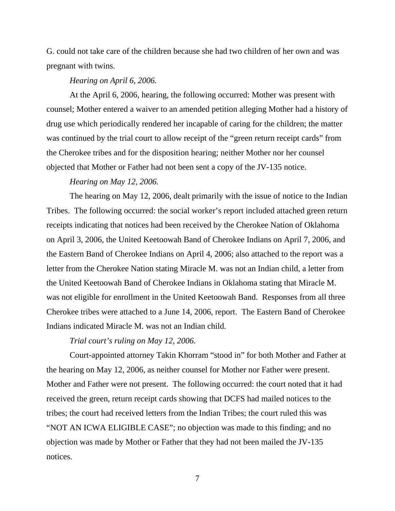G. could not take care of the children because she had two children of her own and was pregnant with twins.

#### *Hearing on April 6, 2006.*

At the April 6, 2006, hearing, the following occurred: Mother was present with counsel; Mother entered a waiver to an amended petition alleging Mother had a history of drug use which periodically rendered her incapable of caring for the children; the matter was continued by the trial court to allow receipt of the "green return receipt cards" from the Cherokee tribes and for the disposition hearing; neither Mother nor her counsel objected that Mother or Father had not been sent a copy of the JV-135 notice.

## *Hearing on May 12, 2006.*

The hearing on May 12, 2006, dealt primarily with the issue of notice to the Indian Tribes. The following occurred: the social worker's report included attached green return receipts indicating that notices had been received by the Cherokee Nation of Oklahoma on April 3, 2006, the United Keetoowah Band of Cherokee Indians on April 7, 2006, and the Eastern Band of Cherokee Indians on April 4, 2006; also attached to the report was a letter from the Cherokee Nation stating Miracle M. was not an Indian child, a letter from the United Keetoowah Band of Cherokee Indians in Oklahoma stating that Miracle M. was not eligible for enrollment in the United Keetoowah Band. Responses from all three Cherokee tribes were attached to a June 14, 2006, report. The Eastern Band of Cherokee Indians indicated Miracle M. was not an Indian child.

## *Trial court's ruling on May 12, 2006.*

Court-appointed attorney Takin Khorram "stood in" for both Mother and Father at the hearing on May 12, 2006, as neither counsel for Mother nor Father were present. Mother and Father were not present. The following occurred: the court noted that it had received the green, return receipt cards showing that DCFS had mailed notices to the tribes; the court had received letters from the Indian Tribes; the court ruled this was "NOT AN ICWA ELIGIBLE CASE"; no objection was made to this finding; and no objection was made by Mother or Father that they had not been mailed the JV-135 notices.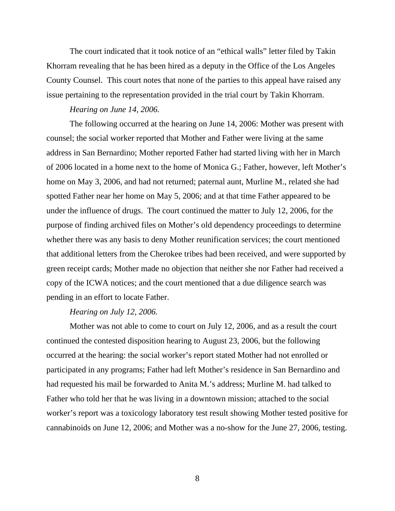The court indicated that it took notice of an "ethical walls" letter filed by Takin Khorram revealing that he has been hired as a deputy in the Office of the Los Angeles County Counsel. This court notes that none of the parties to this appeal have raised any issue pertaining to the representation provided in the trial court by Takin Khorram.

#### *Hearing on June 14, 2006.*

The following occurred at the hearing on June 14, 2006: Mother was present with counsel; the social worker reported that Mother and Father were living at the same address in San Bernardino; Mother reported Father had started living with her in March of 2006 located in a home next to the home of Monica G.; Father, however, left Mother's home on May 3, 2006, and had not returned; paternal aunt, Murline M., related she had spotted Father near her home on May 5, 2006; and at that time Father appeared to be under the influence of drugs. The court continued the matter to July 12, 2006, for the purpose of finding archived files on Mother's old dependency proceedings to determine whether there was any basis to deny Mother reunification services; the court mentioned that additional letters from the Cherokee tribes had been received, and were supported by green receipt cards; Mother made no objection that neither she nor Father had received a copy of the ICWA notices; and the court mentioned that a due diligence search was pending in an effort to locate Father.

#### *Hearing on July 12, 2006.*

Mother was not able to come to court on July 12, 2006, and as a result the court continued the contested disposition hearing to August 23, 2006, but the following occurred at the hearing: the social worker's report stated Mother had not enrolled or participated in any programs; Father had left Mother's residence in San Bernardino and had requested his mail be forwarded to Anita M.'s address; Murline M. had talked to Father who told her that he was living in a downtown mission; attached to the social worker's report was a toxicology laboratory test result showing Mother tested positive for cannabinoids on June 12, 2006; and Mother was a no-show for the June 27, 2006, testing.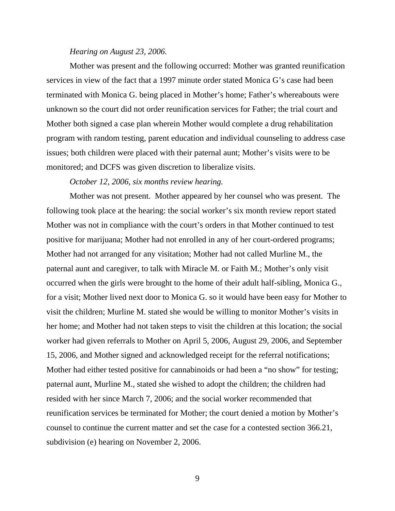#### *Hearing on August 23, 2006.*

Mother was present and the following occurred: Mother was granted reunification services in view of the fact that a 1997 minute order stated Monica G's case had been terminated with Monica G. being placed in Mother's home; Father's whereabouts were unknown so the court did not order reunification services for Father; the trial court and Mother both signed a case plan wherein Mother would complete a drug rehabilitation program with random testing, parent education and individual counseling to address case issues; both children were placed with their paternal aunt; Mother's visits were to be monitored; and DCFS was given discretion to liberalize visits.

## *October 12, 2006, six months review hearing.*

Mother was not present. Mother appeared by her counsel who was present. The following took place at the hearing: the social worker's six month review report stated Mother was not in compliance with the court's orders in that Mother continued to test positive for marijuana; Mother had not enrolled in any of her court-ordered programs; Mother had not arranged for any visitation; Mother had not called Murline M., the paternal aunt and caregiver, to talk with Miracle M. or Faith M.; Mother's only visit occurred when the girls were brought to the home of their adult half-sibling, Monica G., for a visit; Mother lived next door to Monica G. so it would have been easy for Mother to visit the children; Murline M. stated she would be willing to monitor Mother's visits in her home; and Mother had not taken steps to visit the children at this location; the social worker had given referrals to Mother on April 5, 2006, August 29, 2006, and September 15, 2006, and Mother signed and acknowledged receipt for the referral notifications; Mother had either tested positive for cannabinoids or had been a "no show" for testing; paternal aunt, Murline M., stated she wished to adopt the children; the children had resided with her since March 7, 2006; and the social worker recommended that reunification services be terminated for Mother; the court denied a motion by Mother's counsel to continue the current matter and set the case for a contested section 366.21, subdivision (e) hearing on November 2, 2006.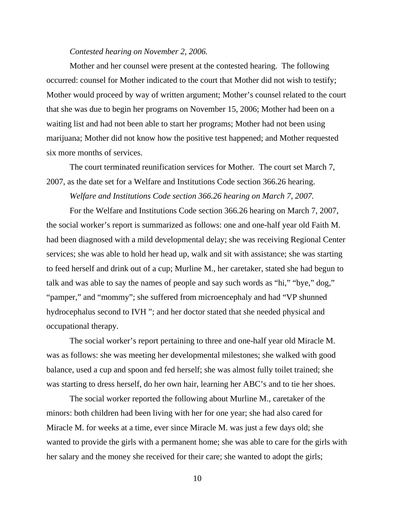#### *Contested hearing on November 2, 2006.*

Mother and her counsel were present at the contested hearing. The following occurred: counsel for Mother indicated to the court that Mother did not wish to testify; Mother would proceed by way of written argument; Mother's counsel related to the court that she was due to begin her programs on November 15, 2006; Mother had been on a waiting list and had not been able to start her programs; Mother had not been using marijuana; Mother did not know how the positive test happened; and Mother requested six more months of services.

 The court terminated reunification services for Mother. The court set March 7, 2007, as the date set for a Welfare and Institutions Code section 366.26 hearing.

*Welfare and Institutions Code section 366.26 hearing on March 7, 2007.* 

For the Welfare and Institutions Code section 366.26 hearing on March 7, 2007, the social worker's report is summarized as follows: one and one-half year old Faith M. had been diagnosed with a mild developmental delay; she was receiving Regional Center services; she was able to hold her head up, walk and sit with assistance; she was starting to feed herself and drink out of a cup; Murline M., her caretaker, stated she had begun to talk and was able to say the names of people and say such words as "hi," "bye," dog," "pamper," and "mommy"; she suffered from microencephaly and had "VP shunned hydrocephalus second to IVH "; and her doctor stated that she needed physical and occupational therapy.

 The social worker's report pertaining to three and one-half year old Miracle M. was as follows: she was meeting her developmental milestones; she walked with good balance, used a cup and spoon and fed herself; she was almost fully toilet trained; she was starting to dress herself, do her own hair, learning her ABC's and to tie her shoes.

 The social worker reported the following about Murline M., caretaker of the minors: both children had been living with her for one year; she had also cared for Miracle M. for weeks at a time, ever since Miracle M. was just a few days old; she wanted to provide the girls with a permanent home; she was able to care for the girls with her salary and the money she received for their care; she wanted to adopt the girls;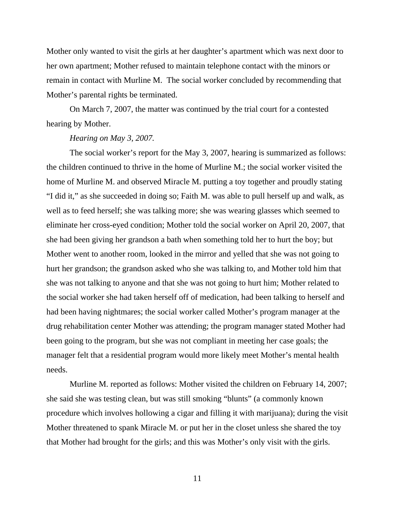Mother only wanted to visit the girls at her daughter's apartment which was next door to her own apartment; Mother refused to maintain telephone contact with the minors or remain in contact with Murline M. The social worker concluded by recommending that Mother's parental rights be terminated.

 On March 7, 2007, the matter was continued by the trial court for a contested hearing by Mother.

#### *Hearing on May 3, 2007.*

The social worker's report for the May 3, 2007, hearing is summarized as follows: the children continued to thrive in the home of Murline M.; the social worker visited the home of Murline M. and observed Miracle M. putting a toy together and proudly stating "I did it," as she succeeded in doing so; Faith M. was able to pull herself up and walk, as well as to feed herself; she was talking more; she was wearing glasses which seemed to eliminate her cross-eyed condition; Mother told the social worker on April 20, 2007, that she had been giving her grandson a bath when something told her to hurt the boy; but Mother went to another room, looked in the mirror and yelled that she was not going to hurt her grandson; the grandson asked who she was talking to, and Mother told him that she was not talking to anyone and that she was not going to hurt him; Mother related to the social worker she had taken herself off of medication, had been talking to herself and had been having nightmares; the social worker called Mother's program manager at the drug rehabilitation center Mother was attending; the program manager stated Mother had been going to the program, but she was not compliant in meeting her case goals; the manager felt that a residential program would more likely meet Mother's mental health needs.

 Murline M. reported as follows: Mother visited the children on February 14, 2007; she said she was testing clean, but was still smoking "blunts" (a commonly known procedure which involves hollowing a cigar and filling it with marijuana); during the visit Mother threatened to spank Miracle M. or put her in the closet unless she shared the toy that Mother had brought for the girls; and this was Mother's only visit with the girls.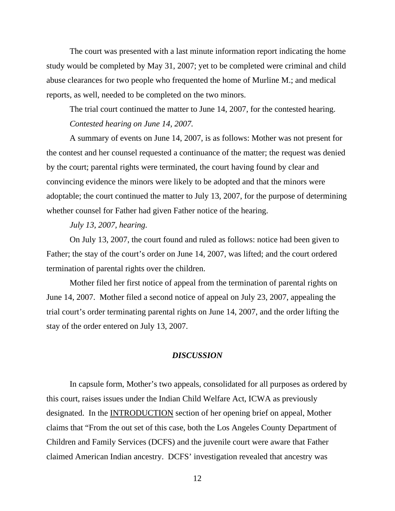The court was presented with a last minute information report indicating the home study would be completed by May 31, 2007; yet to be completed were criminal and child abuse clearances for two people who frequented the home of Murline M.; and medical reports, as well, needed to be completed on the two minors.

 The trial court continued the matter to June 14, 2007, for the contested hearing. *Contested hearing on June 14, 2007.* 

A summary of events on June 14, 2007, is as follows: Mother was not present for the contest and her counsel requested a continuance of the matter; the request was denied by the court; parental rights were terminated, the court having found by clear and convincing evidence the minors were likely to be adopted and that the minors were adoptable; the court continued the matter to July 13, 2007, for the purpose of determining whether counsel for Father had given Father notice of the hearing.

*July 13, 2007, hearing.* 

On July 13, 2007, the court found and ruled as follows: notice had been given to Father; the stay of the court's order on June 14, 2007, was lifted; and the court ordered termination of parental rights over the children.

 Mother filed her first notice of appeal from the termination of parental rights on June 14, 2007. Mother filed a second notice of appeal on July 23, 2007, appealing the trial court's order terminating parental rights on June 14, 2007, and the order lifting the stay of the order entered on July 13, 2007.

## *DISCUSSION*

In capsule form, Mother's two appeals, consolidated for all purposes as ordered by this court, raises issues under the Indian Child Welfare Act, ICWA as previously designated. In the INTRODUCTION section of her opening brief on appeal, Mother claims that "From the out set of this case, both the Los Angeles County Department of Children and Family Services (DCFS) and the juvenile court were aware that Father claimed American Indian ancestry. DCFS' investigation revealed that ancestry was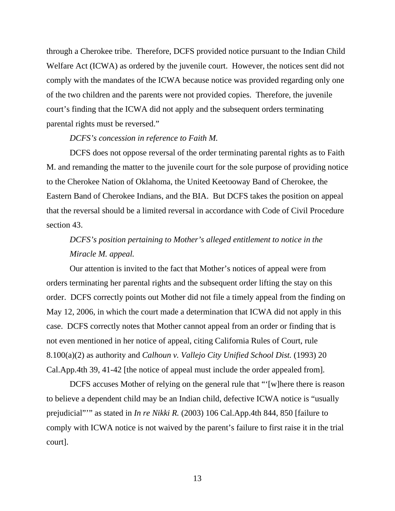through a Cherokee tribe. Therefore, DCFS provided notice pursuant to the Indian Child Welfare Act (ICWA) as ordered by the juvenile court. However, the notices sent did not comply with the mandates of the ICWA because notice was provided regarding only one of the two children and the parents were not provided copies. Therefore, the juvenile court's finding that the ICWA did not apply and the subsequent orders terminating parental rights must be reversed."

#### *DCFS's concession in reference to Faith M.*

DCFS does not oppose reversal of the order terminating parental rights as to Faith M. and remanding the matter to the juvenile court for the sole purpose of providing notice to the Cherokee Nation of Oklahoma, the United Keetooway Band of Cherokee, the Eastern Band of Cherokee Indians, and the BIA. But DCFS takes the position on appeal that the reversal should be a limited reversal in accordance with Code of Civil Procedure section 43.

# *DCFS's position pertaining to Mother's alleged entitlement to notice in the Miracle M. appeal.*

Our attention is invited to the fact that Mother's notices of appeal were from orders terminating her parental rights and the subsequent order lifting the stay on this order. DCFS correctly points out Mother did not file a timely appeal from the finding on May 12, 2006, in which the court made a determination that ICWA did not apply in this case. DCFS correctly notes that Mother cannot appeal from an order or finding that is not even mentioned in her notice of appeal, citing California Rules of Court, rule 8.100(a)(2) as authority and *Calhoun v. Vallejo City Unified School Dist.* (1993) 20 Cal.App.4th 39, 41-42 [the notice of appeal must include the order appealed from].

 DCFS accuses Mother of relying on the general rule that "'[w]here there is reason to believe a dependent child may be an Indian child, defective ICWA notice is "usually prejudicial"'" as stated in *In re Nikki R.* (2003) 106 Cal.App.4th 844, 850 [failure to comply with ICWA notice is not waived by the parent's failure to first raise it in the trial court].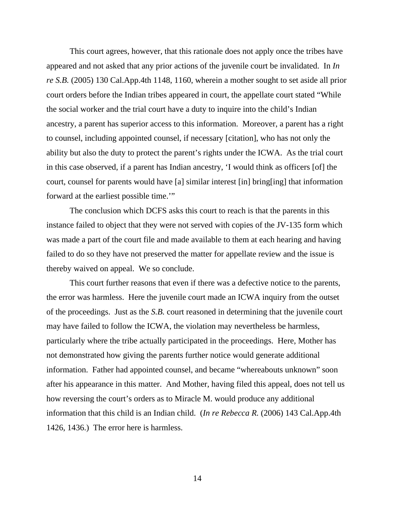This court agrees, however, that this rationale does not apply once the tribes have appeared and not asked that any prior actions of the juvenile court be invalidated. In *In re S.B.* (2005) 130 Cal.App.4th 1148, 1160, wherein a mother sought to set aside all prior court orders before the Indian tribes appeared in court, the appellate court stated "While the social worker and the trial court have a duty to inquire into the child's Indian ancestry, a parent has superior access to this information. Moreover, a parent has a right to counsel, including appointed counsel, if necessary [citation], who has not only the ability but also the duty to protect the parent's rights under the ICWA. As the trial court in this case observed, if a parent has Indian ancestry, 'I would think as officers [of] the court, counsel for parents would have [a] similar interest [in] bring[ing] that information forward at the earliest possible time.'"

 The conclusion which DCFS asks this court to reach is that the parents in this instance failed to object that they were not served with copies of the JV-135 form which was made a part of the court file and made available to them at each hearing and having failed to do so they have not preserved the matter for appellate review and the issue is thereby waived on appeal. We so conclude.

 This court further reasons that even if there was a defective notice to the parents, the error was harmless. Here the juvenile court made an ICWA inquiry from the outset of the proceedings. Just as the *S.B.* court reasoned in determining that the juvenile court may have failed to follow the ICWA, the violation may nevertheless be harmless, particularly where the tribe actually participated in the proceedings. Here, Mother has not demonstrated how giving the parents further notice would generate additional information. Father had appointed counsel, and became "whereabouts unknown" soon after his appearance in this matter. And Mother, having filed this appeal, does not tell us how reversing the court's orders as to Miracle M. would produce any additional information that this child is an Indian child. (*In re Rebecca R.* (2006) 143 Cal.App.4th 1426, 1436.) The error here is harmless.